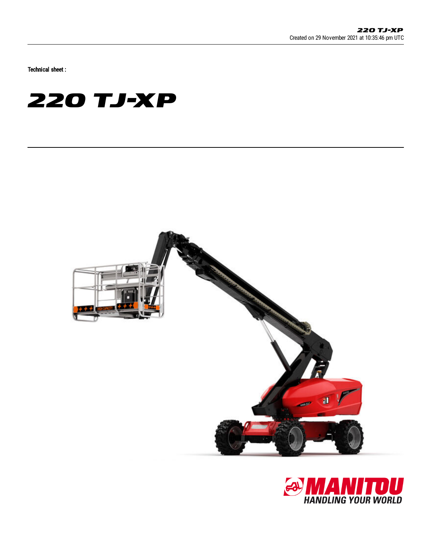Technical sheet :

# **220 TJ-XP**



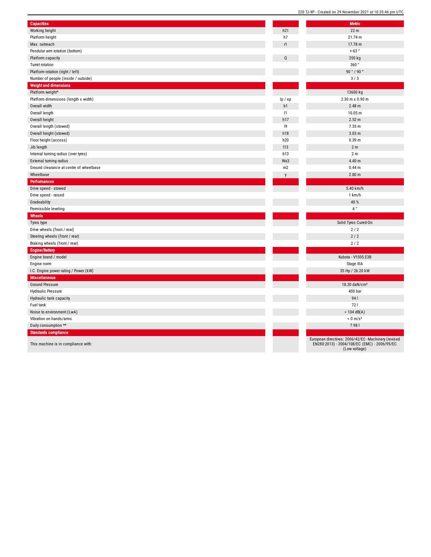| <b>Capacities</b>                       |          | <b>Metric</b>                                                                                                        |
|-----------------------------------------|----------|----------------------------------------------------------------------------------------------------------------------|
| Working height                          | h21      | 22 m                                                                                                                 |
| Platform height                         | h7       | 21.74 m                                                                                                              |
| Max. outreach                           | r1       | 17.78 m                                                                                                              |
| Pendular arm rotation (bottom)          |          | $+63°$                                                                                                               |
|                                         | Q        |                                                                                                                      |
| Platform capacity                       |          | 350 kg<br>360°                                                                                                       |
| Turret rotation                         |          |                                                                                                                      |
| Platform rotation (right / left)        |          | 90 ° / 90 °                                                                                                          |
| Number of people (inside / outside)     |          | 3/3                                                                                                                  |
| <b>Weight and dimensions</b>            |          |                                                                                                                      |
| Platform weight*                        |          | 13600 kg<br>2.30 m x 0.90 m                                                                                          |
| Platform dimensions (length x width)    | lp / ep  |                                                                                                                      |
| Overall width                           | b1<br> 1 | 2.48 m<br>10.05 m                                                                                                    |
| Overall length                          |          |                                                                                                                      |
| Overall height                          | h17      | 2.52 m                                                                                                               |
| Overall length (stowed)                 | 9        | 7.35 m                                                                                                               |
| Overall height (stowed)                 | h18      | 3.03 <sub>m</sub>                                                                                                    |
| Floor height (access)                   | h20      | 0.39 m                                                                                                               |
| Jib length                              | 113      | 2 <sub>m</sub>                                                                                                       |
| Internal turning radius (over tyres)    | b13      | 2 <sub>m</sub>                                                                                                       |
| External turning radius                 | Wa3      | 4.40 m                                                                                                               |
| Ground clearance at centre of wheelbase | m2       | 0.44 <sub>m</sub>                                                                                                    |
| Wheelbase                               |          | 2.80 <sub>m</sub>                                                                                                    |
| <b>Performances</b>                     |          |                                                                                                                      |
| Drive speed - stowed                    |          | 5.40 km/h                                                                                                            |
| Drive speed - raised                    |          | 1 km/h                                                                                                               |
| Gradeability                            |          | 40 %                                                                                                                 |
| Permissible leveling                    |          | $4~^{\circ}$                                                                                                         |
| Wheels                                  |          |                                                                                                                      |
| Tyres type                              |          | Solid Tyres Cured-On                                                                                                 |
| Drive wheels (front / rear)             |          | 2/2                                                                                                                  |
| Steering wheels (front / rear)          |          | 2/2                                                                                                                  |
| Braking wheels (front / rear)           |          | 2/2                                                                                                                  |
| <b>Engine/Battery</b>                   |          |                                                                                                                      |
| Engine brand / model                    |          | Kubota - V1505.E3B                                                                                                   |
| Engine norm                             |          | Stage IIIA                                                                                                           |
| I.C. Engine power rating / Power (kW)   |          | 35 Hp / 26.20 kW                                                                                                     |
| Miscellaneous                           |          |                                                                                                                      |
| <b>Ground Pressure</b>                  |          | 18.30 daN/cm <sup>2</sup>                                                                                            |
| <b>Hydraulic Pressure</b>               |          | 400 bar                                                                                                              |
| Hydraulic tank capacity                 |          | 941                                                                                                                  |
| Fuel tank                               |          | 721                                                                                                                  |
| Noise to environment (LwA)              |          | $< 104$ dB(A)                                                                                                        |
| Vibration on hands/arms                 |          | $< 0$ m/s <sup>2</sup>                                                                                               |
| Daily consumption **                    |          | 7.981                                                                                                                |
| <b>Standards compliance</b>             |          |                                                                                                                      |
| This machine is in compliance with:     |          | European directives: 2006/42/EC- Machinery (revised<br>EN280:2013) - 2004/108/EC (EMC) - 2006/95/EC<br>(Low voltage) |

220 TJ-XP - Created on 29 November 2021 at 10:35:46 pm UTC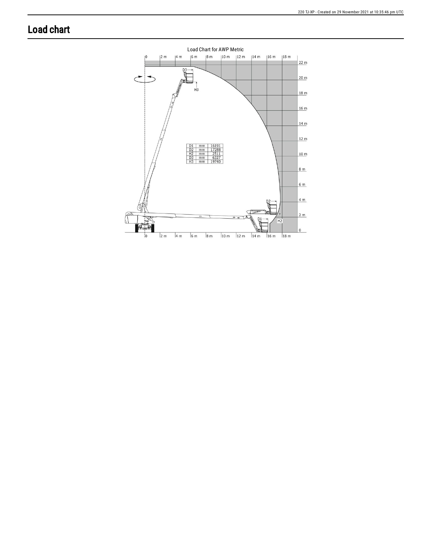## **Load chart**

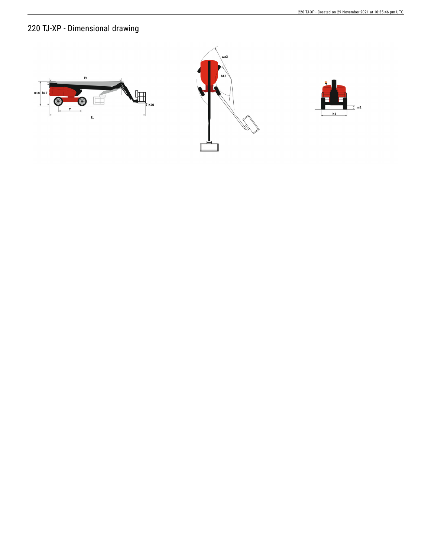### 220 TJ-XP - Dimensional drawing





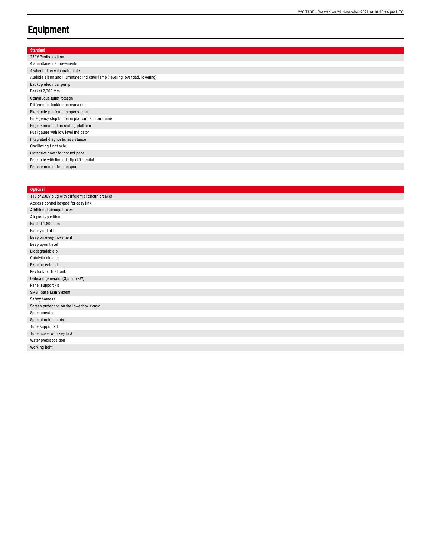#### **Equipment**

| <b>Standard</b>                                                             |
|-----------------------------------------------------------------------------|
| 230V Predisposition                                                         |
| 4 simultaneous movements                                                    |
| 4 wheel steer with crab mode                                                |
| Audible alarm and illuminated indicator lamp (leveling, overload, lowering) |
| Backup electrical pump                                                      |
| Basket 2,300 mm                                                             |
| Continuous turret rotation                                                  |
| Differential locking on rear axle                                           |
| Electronic platform compensation                                            |
| Emergency stop button in platform and on frame                              |
| Engine mounted on sliding platform                                          |
| Fuel gauge with low level indicator                                         |
| Integrated diagnostic assistance                                            |
| Oscillating front axle                                                      |
| Protective cover for control panel                                          |
| Rear axle with limited slip differential                                    |
| Remote control for transport                                                |
|                                                                             |

#### **Optional** 110 or 230V plug with differential circuit breaker Access control keypad for easy link Additional storage boxes Air predisposition Basket 1,800 mm Battery cut-off Beep on every movement Beep upon travel Biodegradable oil Catalytic cleaner Extreme cold oil Key lock on fuel t a n k Onboard generator (3,5 or 5 kW) Panel support kit SMS : Safe Man System Safety hamess Screen protection on the lower box control Spark arrester Special color paints Tube support kit Turret cover with key lock Water predisposition Working light